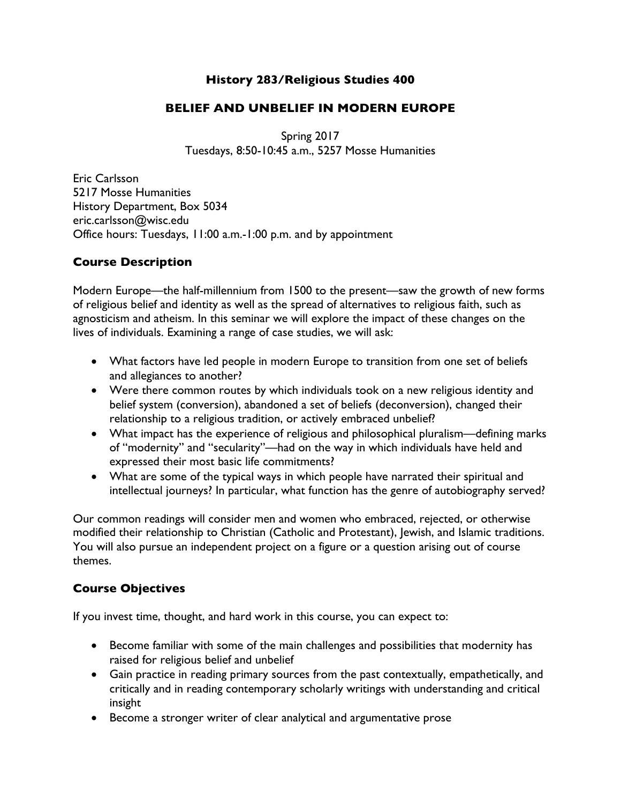#### **History 283/Religious Studies 400**

### **BELIEF AND UNBELIEF IN MODERN EUROPE**

Spring 2017 Tuesdays, 8:50-10:45 a.m., 5257 Mosse Humanities

Eric Carlsson 5217 Mosse Humanities History Department, Box 5034 eric.carlsson@wisc.edu Office hours: Tuesdays, 11:00 a.m.-1:00 p.m. and by appointment

### **Course Description**

Modern Europe—the half-millennium from 1500 to the present—saw the growth of new forms of religious belief and identity as well as the spread of alternatives to religious faith, such as agnosticism and atheism. In this seminar we will explore the impact of these changes on the lives of individuals. Examining a range of case studies, we will ask:

- What factors have led people in modern Europe to transition from one set of beliefs and allegiances to another?
- Were there common routes by which individuals took on a new religious identity and belief system (conversion), abandoned a set of beliefs (deconversion), changed their relationship to a religious tradition, or actively embraced unbelief?
- What impact has the experience of religious and philosophical pluralism—defining marks of "modernity" and "secularity"—had on the way in which individuals have held and expressed their most basic life commitments?
- What are some of the typical ways in which people have narrated their spiritual and intellectual journeys? In particular, what function has the genre of autobiography served?

Our common readings will consider men and women who embraced, rejected, or otherwise modified their relationship to Christian (Catholic and Protestant), Jewish, and Islamic traditions. You will also pursue an independent project on a figure or a question arising out of course themes.

# **Course Objectives**

If you invest time, thought, and hard work in this course, you can expect to:

- Become familiar with some of the main challenges and possibilities that modernity has raised for religious belief and unbelief
- Gain practice in reading primary sources from the past contextually, empathetically, and critically and in reading contemporary scholarly writings with understanding and critical insight
- Become a stronger writer of clear analytical and argumentative prose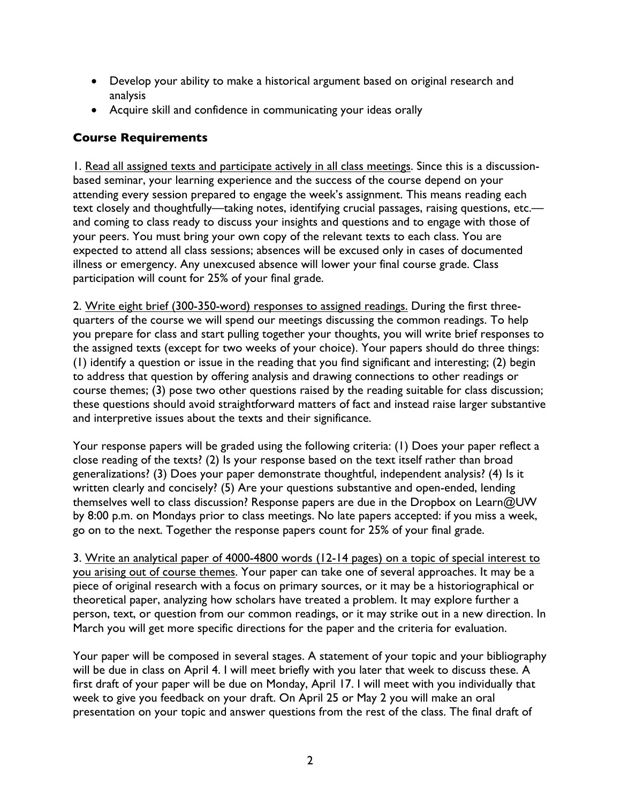- Develop your ability to make a historical argument based on original research and analysis
- Acquire skill and confidence in communicating your ideas orally

#### **Course Requirements**

1. Read all assigned texts and participate actively in all class meetings. Since this is a discussionbased seminar, your learning experience and the success of the course depend on your attending every session prepared to engage the week's assignment. This means reading each text closely and thoughtfully—taking notes, identifying crucial passages, raising questions, etc. and coming to class ready to discuss your insights and questions and to engage with those of your peers. You must bring your own copy of the relevant texts to each class. You are expected to attend all class sessions; absences will be excused only in cases of documented illness or emergency. Any unexcused absence will lower your final course grade. Class participation will count for 25% of your final grade.

2. Write eight brief (300-350-word) responses to assigned readings. During the first threequarters of the course we will spend our meetings discussing the common readings. To help you prepare for class and start pulling together your thoughts, you will write brief responses to the assigned texts (except for two weeks of your choice). Your papers should do three things: (1) identify a question or issue in the reading that you find significant and interesting; (2) begin to address that question by offering analysis and drawing connections to other readings or course themes; (3) pose two other questions raised by the reading suitable for class discussion; these questions should avoid straightforward matters of fact and instead raise larger substantive and interpretive issues about the texts and their significance.

Your response papers will be graded using the following criteria: (1) Does your paper reflect a close reading of the texts? (2) Is your response based on the text itself rather than broad generalizations? (3) Does your paper demonstrate thoughtful, independent analysis? (4) Is it written clearly and concisely? (5) Are your questions substantive and open-ended, lending themselves well to class discussion? Response papers are due in the Dropbox on Learn@UW by 8:00 p.m. on Mondays prior to class meetings. No late papers accepted: if you miss a week, go on to the next. Together the response papers count for 25% of your final grade.

3. Write an analytical paper of 4000-4800 words (12-14 pages) on a topic of special interest to you arising out of course themes. Your paper can take one of several approaches. It may be a piece of original research with a focus on primary sources, or it may be a historiographical or theoretical paper, analyzing how scholars have treated a problem. It may explore further a person, text, or question from our common readings, or it may strike out in a new direction. In March you will get more specific directions for the paper and the criteria for evaluation.

Your paper will be composed in several stages. A statement of your topic and your bibliography will be due in class on April 4. I will meet briefly with you later that week to discuss these. A first draft of your paper will be due on Monday, April 17. I will meet with you individually that week to give you feedback on your draft. On April 25 or May 2 you will make an oral presentation on your topic and answer questions from the rest of the class. The final draft of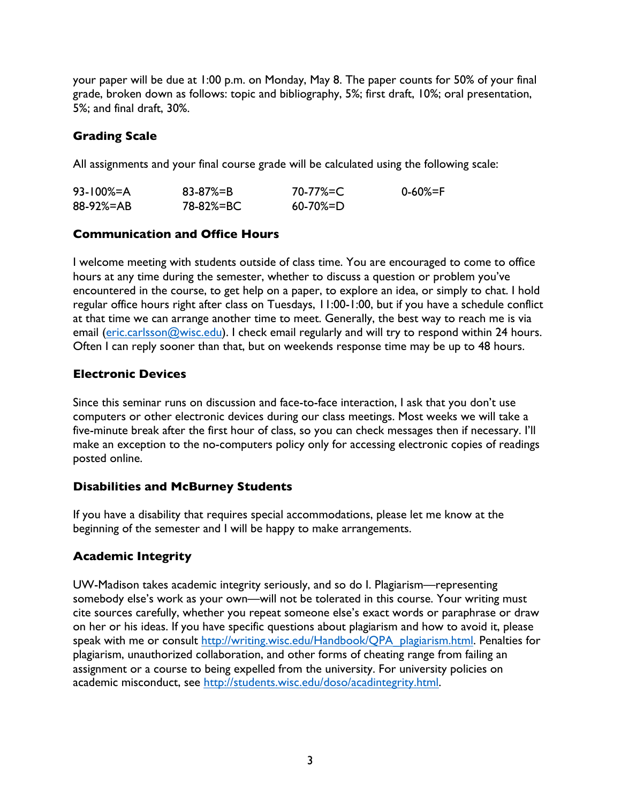your paper will be due at 1:00 p.m. on Monday, May 8. The paper counts for 50% of your final grade, broken down as follows: topic and bibliography, 5%; first draft, 10%; oral presentation, 5%; and final draft, 30%.

## **Grading Scale**

All assignments and your final course grade will be calculated using the following scale:

| $93 - 100\% = A$ | 83-87%=B  | 70-77%=C        | 0-60%=F |
|------------------|-----------|-----------------|---------|
| 88-92%=AB        | 78-82%=BC | $60 - 70\% = D$ |         |

### **Communication and Office Hours**

I welcome meeting with students outside of class time. You are encouraged to come to office hours at any time during the semester, whether to discuss a question or problem you've encountered in the course, to get help on a paper, to explore an idea, or simply to chat. I hold regular office hours right after class on Tuesdays, 11:00-1:00, but if you have a schedule conflict at that time we can arrange another time to meet. Generally, the best way to reach me is via email (eric.carlsson@wisc.edu). I check email regularly and will try to respond within 24 hours. Often I can reply sooner than that, but on weekends response time may be up to 48 hours.

### **Electronic Devices**

Since this seminar runs on discussion and face-to-face interaction, I ask that you don't use computers or other electronic devices during our class meetings. Most weeks we will take a five-minute break after the first hour of class, so you can check messages then if necessary. I'll make an exception to the no-computers policy only for accessing electronic copies of readings posted online.

# **Disabilities and McBurney Students**

If you have a disability that requires special accommodations, please let me know at the beginning of the semester and I will be happy to make arrangements.

# **Academic Integrity**

UW-Madison takes academic integrity seriously, and so do I. Plagiarism—representing somebody else's work as your own—will not be tolerated in this course. Your writing must cite sources carefully, whether you repeat someone else's exact words or paraphrase or draw on her or his ideas. If you have specific questions about plagiarism and how to avoid it, please speak with me or consult http://writing.wisc.edu/Handbook/QPA\_plagiarism.html. Penalties for plagiarism, unauthorized collaboration, and other forms of cheating range from failing an assignment or a course to being expelled from the university. For university policies on academic misconduct, see http://students.wisc.edu/doso/acadintegrity.html.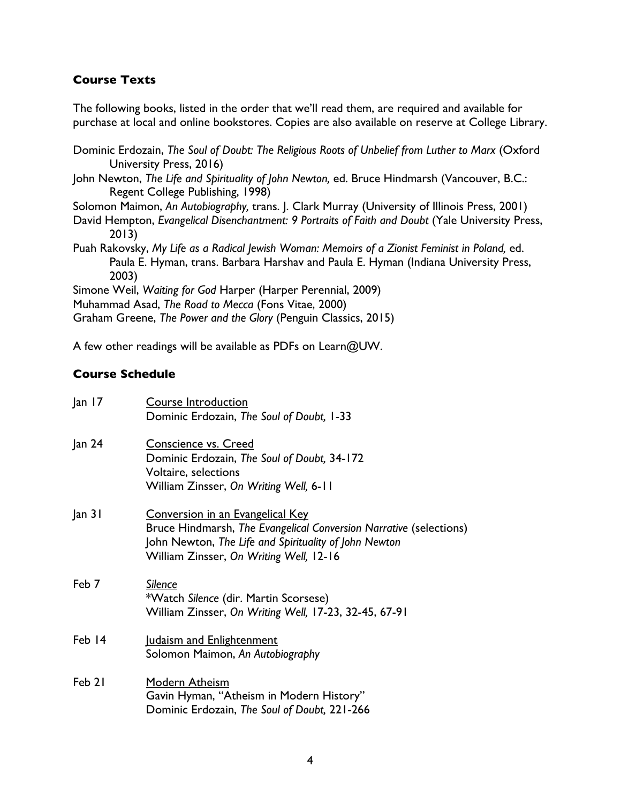#### **Course Texts**

The following books, listed in the order that we'll read them, are required and available for purchase at local and online bookstores. Copies are also available on reserve at College Library.

Dominic Erdozain, *The Soul of Doubt: The Religious Roots of Unbelief from Luther to Marx* (Oxford University Press, 2016)

John Newton, *The Life and Spirituality of John Newton,* ed. Bruce Hindmarsh (Vancouver, B.C.: Regent College Publishing, 1998)

Solomon Maimon, *An Autobiography,* trans. J. Clark Murray (University of Illinois Press, 2001)

David Hempton, *Evangelical Disenchantment: 9 Portraits of Faith and Doubt (Yale University Press,* 2013)

Puah Rakovsky, My Life as a Radical Jewish Woman: Memoirs of a Zionist Feminist in Poland, ed. Paula E. Hyman, trans. Barbara Harshav and Paula E. Hyman (Indiana University Press, 2003)

Simone Weil, *Waiting for God* Harper (Harper Perennial, 2009)

Muhammad Asad, *The Road to Mecca* (Fons Vitae, 2000)

Graham Greene, *The Power and the Glory* (Penguin Classics, 2015)

A few other readings will be available as PDFs on Learn@UW.

#### **Course Schedule**

| an 17  | Course Introduction<br>Dominic Erdozain, The Soul of Doubt, 1-33                                                                                                                                                  |
|--------|-------------------------------------------------------------------------------------------------------------------------------------------------------------------------------------------------------------------|
| Jan 24 | Conscience vs. Creed<br>Dominic Erdozain, The Soul of Doubt, 34-172<br>Voltaire, selections<br>William Zinsser, On Writing Well, 6-11                                                                             |
| an 31  | <b>Conversion in an Evangelical Key</b><br>Bruce Hindmarsh, The Evangelical Conversion Narrative (selections)<br>John Newton, The Life and Spirituality of John Newton<br>William Zinsser, On Writing Well, 12-16 |
| Feb 7  | Silence<br>*Watch Silence (dir. Martin Scorsese)<br>William Zinsser, On Writing Well, 17-23, 32-45, 67-91                                                                                                         |
| Feb 14 | Judaism and Enlightenment<br>Solomon Maimon, An Autobiography                                                                                                                                                     |
| Feb 21 | Modern Atheism<br>Gavin Hyman, "Atheism in Modern History"<br>Dominic Erdozain, The Soul of Doubt, 221-266                                                                                                        |